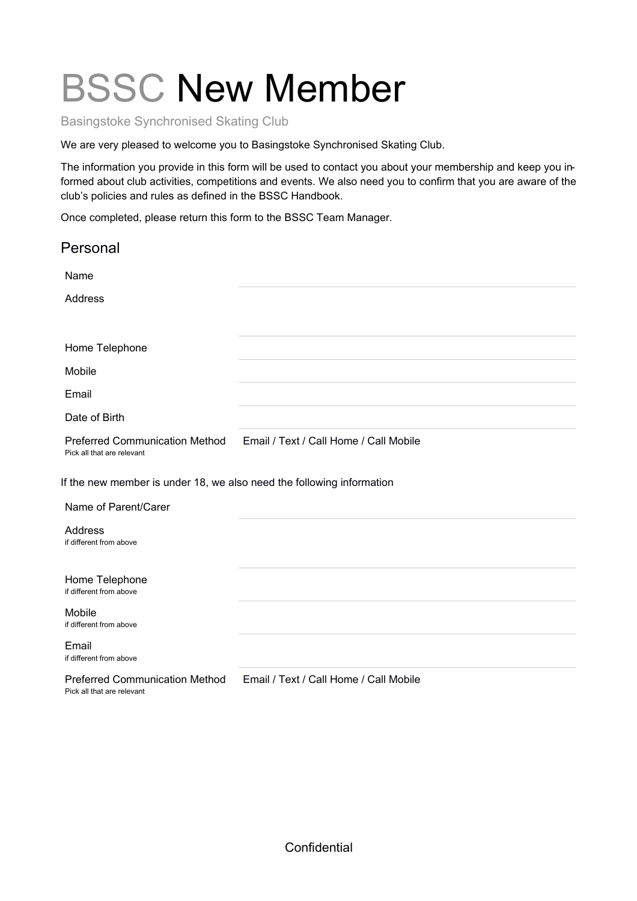# BSSC New Member

Basingstoke Synchronised Skating Club

We are very pleased to welcome you to Basingstoke Synchronised Skating Club.

The information you provide in this form will be used to contact you about your membership and keep you informed about club activities, competitions and events. We also need you to confirm that you are aware of the club's policies and rules as defined in the BSSC Handbook.

Once completed, please return this form to the BSSC Team Manager.

| Personal                                                              |                                        |  |
|-----------------------------------------------------------------------|----------------------------------------|--|
| Name                                                                  |                                        |  |
| Address                                                               |                                        |  |
|                                                                       |                                        |  |
| Home Telephone                                                        |                                        |  |
| Mobile                                                                |                                        |  |
| Email                                                                 |                                        |  |
| Date of Birth                                                         |                                        |  |
| <b>Preferred Communication Method</b><br>Pick all that are relevant   | Email / Text / Call Home / Call Mobile |  |
| If the new member is under 18, we also need the following information |                                        |  |
| Name of Parent/Carer                                                  |                                        |  |
| Address<br>if different from above                                    |                                        |  |
| Home Telephone<br>if different from above                             |                                        |  |
| Mobile<br>if different from above                                     |                                        |  |
| Email<br>if different from above                                      |                                        |  |
| <b>Preferred Communication Method</b><br>Pick all that are relevant   | Email / Text / Call Home / Call Mobile |  |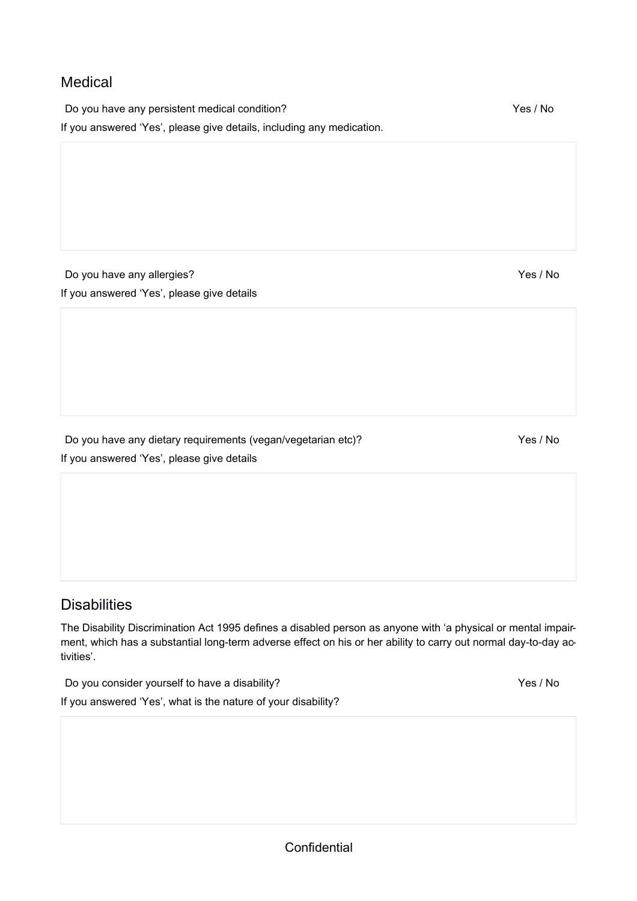#### Medical

Do you have any persistent medical condition? The state of the state of the Yes / No If you answered 'Yes', please give details, including any medication.

Do you have any allergies? The state of the state of the state of the Yes / No If you answered 'Yes', please give details

Do you have any dietary requirements (vegan/vegetarian etc)? <br>
Yes / No If you answered 'Yes', please give details

### **Disabilities**

The Disability Discrimination Act 1995 defines a disabled person as anyone with 'a physical or mental impairment, which has a substantial long-term adverse effect on his or her ability to carry out normal day-to-day activities'.

Do you consider yourself to have a disability? The state of the state of the Yes / No If you answered 'Yes', what is the nature of your disability?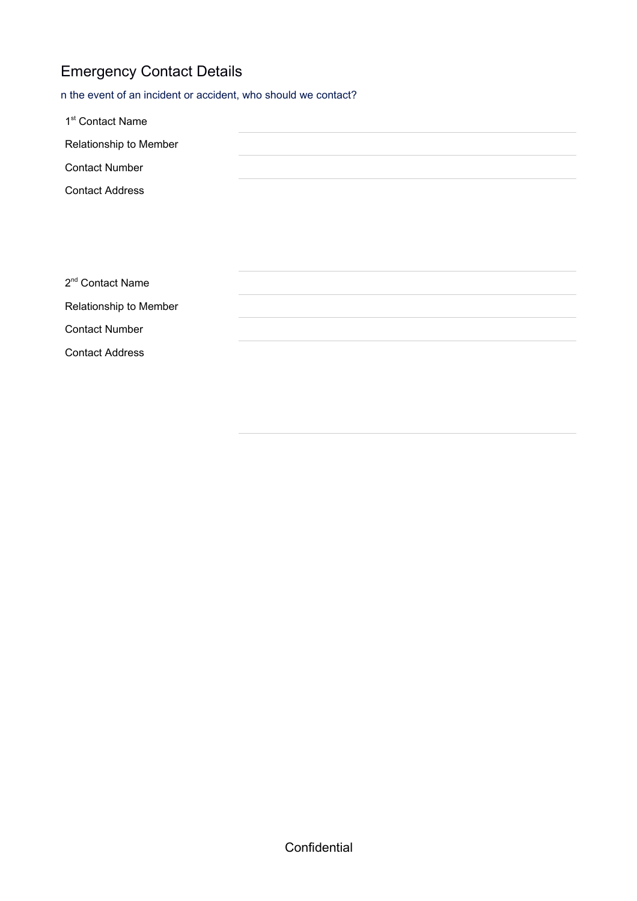## Emergency Contact Details

n the event of an incident or accident, who should we contact?

| 1 <sup>st</sup> Contact Name |  |
|------------------------------|--|
| Relationship to Member       |  |
| <b>Contact Number</b>        |  |
| <b>Contact Address</b>       |  |
|                              |  |
|                              |  |
|                              |  |
| 2 <sup>nd</sup> Contact Name |  |
| Relationship to Member       |  |
| <b>Contact Number</b>        |  |
| <b>Contact Address</b>       |  |
|                              |  |